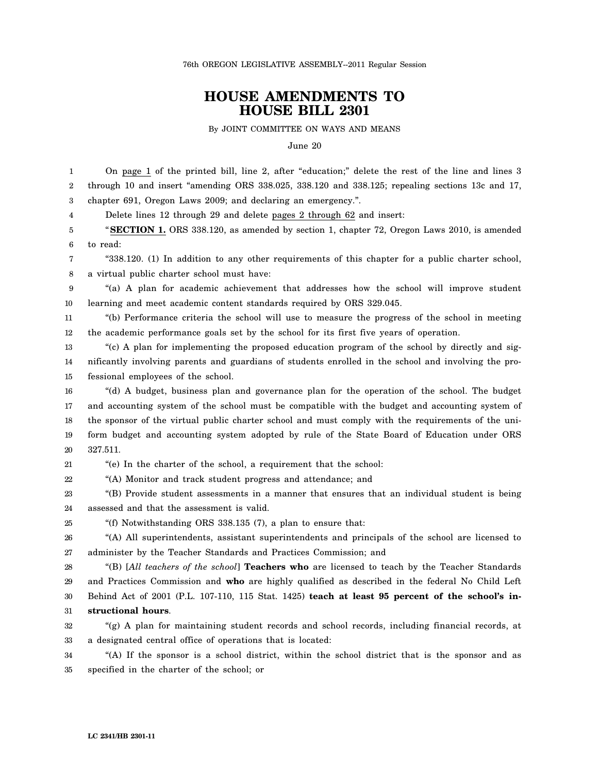76th OREGON LEGISLATIVE ASSEMBLY--2011 Regular Session

## **HOUSE AMENDMENTS TO HOUSE BILL 2301**

By JOINT COMMITTEE ON WAYS AND MEANS

June 20

| 1  | On page 1 of the printed bill, line 2, after "education;" delete the rest of the line and lines 3    |
|----|------------------------------------------------------------------------------------------------------|
| 2  | through 10 and insert "amending ORS 338.025, 338.120 and 338.125; repealing sections 13c and 17,     |
| 3  | chapter 691, Oregon Laws 2009; and declaring an emergency.".                                         |
| 4  | Delete lines 12 through 29 and delete pages 2 through 62 and insert:                                 |
| 5  | "SECTION 1. ORS 338.120, as amended by section 1, chapter 72, Oregon Laws 2010, is amended           |
| 6  | to read:                                                                                             |
| 7  | "338.120. (1) In addition to any other requirements of this chapter for a public charter school,     |
| 8  | a virtual public charter school must have:                                                           |
| 9  | "(a) A plan for academic achievement that addresses how the school will improve student              |
| 10 | learning and meet academic content standards required by ORS 329.045.                                |
| 11 | "(b) Performance criteria the school will use to measure the progress of the school in meeting       |
| 12 | the academic performance goals set by the school for its first five years of operation.              |
| 13 | "(c) A plan for implementing the proposed education program of the school by directly and sig-       |
| 14 | nificantly involving parents and guardians of students enrolled in the school and involving the pro- |
| 15 | fessional employees of the school.                                                                   |
| 16 | "(d) A budget, business plan and governance plan for the operation of the school. The budget         |
| 17 | and accounting system of the school must be compatible with the budget and accounting system of      |
| 18 | the sponsor of the virtual public charter school and must comply with the requirements of the uni-   |
| 19 | form budget and accounting system adopted by rule of the State Board of Education under ORS          |
| 20 | 327.511.                                                                                             |
| 21 | "(e) In the charter of the school, a requirement that the school:                                    |
| 22 | "(A) Monitor and track student progress and attendance; and                                          |
| 23 | "(B) Provide student assessments in a manner that ensures that an individual student is being        |
| 24 | assessed and that the assessment is valid.                                                           |
| 25 | "(f) Notwithstanding ORS $338.135$ (7), a plan to ensure that:                                       |
| 26 | "(A) All superintendents, assistant superintendents and principals of the school are licensed to     |
| 27 | administer by the Teacher Standards and Practices Commission; and                                    |
| 28 | "(B) [All teachers of the school] <b>Teachers who</b> are licensed to teach by the Teacher Standards |
| 29 | and Practices Commission and who are highly qualified as described in the federal No Child Left      |
| 30 | Behind Act of 2001 (P.L. 107-110, 115 Stat. 1425) teach at least 95 percent of the school's in-      |
| 31 | structional hours.                                                                                   |
| 32 | "(g) A plan for maintaining student records and school records, including financial records, at      |
| 33 | a designated central office of operations that is located:                                           |
| 34 | "(A) If the sponsor is a school district, within the school district that is the sponsor and as      |
| 35 | specified in the charter of the school; or                                                           |
|    |                                                                                                      |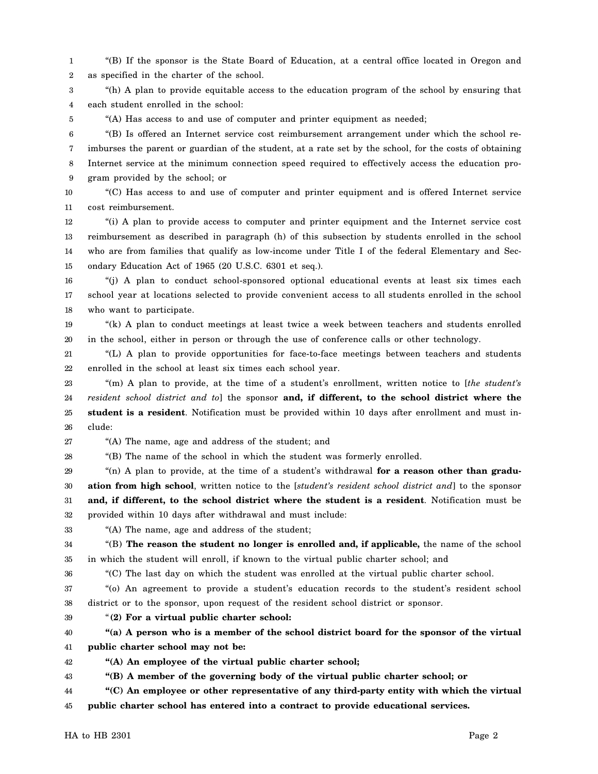1 2 "(B) If the sponsor is the State Board of Education, at a central office located in Oregon and as specified in the charter of the school.

3 4 "(h) A plan to provide equitable access to the education program of the school by ensuring that each student enrolled in the school:

"(A) Has access to and use of computer and printer equipment as needed;

6 7 8 9 "(B) Is offered an Internet service cost reimbursement arrangement under which the school reimburses the parent or guardian of the student, at a rate set by the school, for the costs of obtaining Internet service at the minimum connection speed required to effectively access the education program provided by the school; or

10 11 "(C) Has access to and use of computer and printer equipment and is offered Internet service cost reimbursement.

12 13 14 15 "(i) A plan to provide access to computer and printer equipment and the Internet service cost reimbursement as described in paragraph (h) of this subsection by students enrolled in the school who are from families that qualify as low-income under Title I of the federal Elementary and Secondary Education Act of 1965 (20 U.S.C. 6301 et seq.).

16 17 18 "(j) A plan to conduct school-sponsored optional educational events at least six times each school year at locations selected to provide convenient access to all students enrolled in the school who want to participate.

19 20 "(k) A plan to conduct meetings at least twice a week between teachers and students enrolled in the school, either in person or through the use of conference calls or other technology.

21 22 "(L) A plan to provide opportunities for face-to-face meetings between teachers and students enrolled in the school at least six times each school year.

23 24 25 26 "(m) A plan to provide, at the time of a student's enrollment, written notice to [*the student's resident school district and to*] the sponsor **and, if different, to the school district where the student is a resident**. Notification must be provided within 10 days after enrollment and must include:

27 "(A) The name, age and address of the student; and

28 "(B) The name of the school in which the student was formerly enrolled.

29 30 31 32 "(n) A plan to provide, at the time of a student's withdrawal **for a reason other than graduation from high school**, written notice to the [*student's resident school district and*] to the sponsor **and, if different, to the school district where the student is a resident**. Notification must be provided within 10 days after withdrawal and must include:

33 "(A) The name, age and address of the student;

34 35 "(B) **The reason the student no longer is enrolled and, if applicable,** the name of the school in which the student will enroll, if known to the virtual public charter school; and

36 "(C) The last day on which the student was enrolled at the virtual public charter school.

37 38 "(o) An agreement to provide a student's education records to the student's resident school district or to the sponsor, upon request of the resident school district or sponsor.

39 "**(2) For a virtual public charter school:**

40 41 **"(a) A person who is a member of the school district board for the sponsor of the virtual public charter school may not be:**

42 **"(A) An employee of the virtual public charter school;**

43 **"(B) A member of the governing body of the virtual public charter school; or**

44 **"(C) An employee or other representative of any third-party entity with which the virtual**

45 **public charter school has entered into a contract to provide educational services.**

 $HA$  to  $HB$  2301 Page 2

5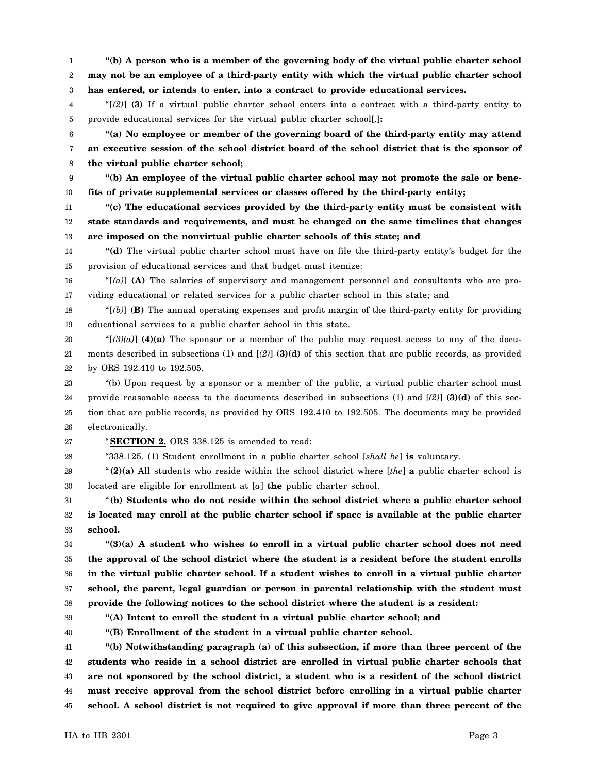1 2 3 **"(b) A person who is a member of the governing body of the virtual public charter school may not be an employee of a third-party entity with which the virtual public charter school has entered, or intends to enter, into a contract to provide educational services.**

4 5 "[*(2)*] **(3)** If a virtual public charter school enters into a contract with a third-party entity to provide educational services for the virtual public charter school[*,*]**:**

6 7 8 **"(a) No employee or member of the governing board of the third-party entity may attend an executive session of the school district board of the school district that is the sponsor of the virtual public charter school;**

9 10 **"(b) An employee of the virtual public charter school may not promote the sale or benefits of private supplemental services or classes offered by the third-party entity;**

11 12 13 **"(c) The educational services provided by the third-party entity must be consistent with state standards and requirements, and must be changed on the same timelines that changes are imposed on the nonvirtual public charter schools of this state; and**

14 15 **"(d)** The virtual public charter school must have on file the third-party entity's budget for the provision of educational services and that budget must itemize:

16 17 "[*(a)*] **(A)** The salaries of supervisory and management personnel and consultants who are providing educational or related services for a public charter school in this state; and

18 19 " $[6]$  **(B)** The annual operating expenses and profit margin of the third-party entity for providing educational services to a public charter school in this state.

20 21 22 " $[(3)(a)]$  (4)(a) The sponsor or a member of the public may request access to any of the documents described in subsections (1) and [*(2)*] **(3)(d)** of this section that are public records, as provided by ORS 192.410 to 192.505.

23 24 25 26 "(b) Upon request by a sponsor or a member of the public, a virtual public charter school must provide reasonable access to the documents described in subsections (1) and [*(2)*] **(3)(d)** of this section that are public records, as provided by ORS 192.410 to 192.505. The documents may be provided electronically.

27

"**SECTION 2.** ORS 338.125 is amended to read:

28 "338.125. (1) Student enrollment in a public charter school [*shall be*] **is** voluntary.

29 30 "**(2)(a)** All students who reside within the school district where [*the*] **a** public charter school is located are eligible for enrollment at [*a*] **the** public charter school.

31 32 33 "**(b) Students who do not reside within the school district where a public charter school is located may enroll at the public charter school if space is available at the public charter school.**

34 35 36 37 38 **"(3)(a) A student who wishes to enroll in a virtual public charter school does not need the approval of the school district where the student is a resident before the student enrolls in the virtual public charter school. If a student wishes to enroll in a virtual public charter school, the parent, legal guardian or person in parental relationship with the student must provide the following notices to the school district where the student is a resident:**

39 40 **"(A) Intent to enroll the student in a virtual public charter school; and**

**"(B) Enrollment of the student in a virtual public charter school.**

41 42 43 44 45 **"(b) Notwithstanding paragraph (a) of this subsection, if more than three percent of the students who reside in a school district are enrolled in virtual public charter schools that are not sponsored by the school district, a student who is a resident of the school district must receive approval from the school district before enrolling in a virtual public charter school. A school district is not required to give approval if more than three percent of the**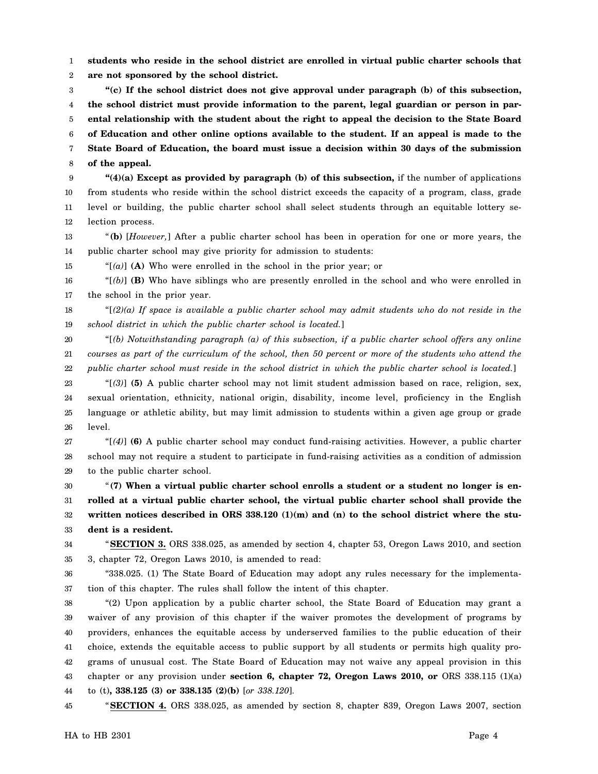1 2 **students who reside in the school district are enrolled in virtual public charter schools that are not sponsored by the school district.**

3 4 5 6 7 8 **"(c) If the school district does not give approval under paragraph (b) of this subsection, the school district must provide information to the parent, legal guardian or person in parental relationship with the student about the right to appeal the decision to the State Board of Education and other online options available to the student. If an appeal is made to the State Board of Education, the board must issue a decision within 30 days of the submission of the appeal.**

9 10 11 12 **"(4)(a) Except as provided by paragraph (b) of this subsection,** if the number of applications from students who reside within the school district exceeds the capacity of a program, class, grade level or building, the public charter school shall select students through an equitable lottery selection process.

13 14 "**(b)** [*However,*] After a public charter school has been in operation for one or more years, the public charter school may give priority for admission to students:

15 "[*(a)*] **(A)** Who were enrolled in the school in the prior year; or

16 17 "[*(b)*] **(B)** Who have siblings who are presently enrolled in the school and who were enrolled in the school in the prior year.

18 19 "[*(2)(a) If space is available a public charter school may admit students who do not reside in the school district in which the public charter school is located.*]

20 21 22 "[*(b) Notwithstanding paragraph (a) of this subsection, if a public charter school offers any online courses as part of the curriculum of the school, then 50 percent or more of the students who attend the public charter school must reside in the school district in which the public charter school is located.*]

23 24 25 26 "[*(3)*] **(5)** A public charter school may not limit student admission based on race, religion, sex, sexual orientation, ethnicity, national origin, disability, income level, proficiency in the English language or athletic ability, but may limit admission to students within a given age group or grade level.

27 28 29 "[*(4)*] **(6)** A public charter school may conduct fund-raising activities. However, a public charter school may not require a student to participate in fund-raising activities as a condition of admission to the public charter school.

30 31 32 33 "**(7) When a virtual public charter school enrolls a student or a student no longer is enrolled at a virtual public charter school, the virtual public charter school shall provide the** written notices described in ORS 338.120 (1)(m) and (n) to the school district where the stu**dent is a resident.**

34 35 "**SECTION 3.** ORS 338.025, as amended by section 4, chapter 53, Oregon Laws 2010, and section 3, chapter 72, Oregon Laws 2010, is amended to read:

36 37 "338.025. (1) The State Board of Education may adopt any rules necessary for the implementation of this chapter. The rules shall follow the intent of this chapter.

38 39 40 41 42 43 44 "(2) Upon application by a public charter school, the State Board of Education may grant a waiver of any provision of this chapter if the waiver promotes the development of programs by providers, enhances the equitable access by underserved families to the public education of their choice, extends the equitable access to public support by all students or permits high quality programs of unusual cost. The State Board of Education may not waive any appeal provision in this chapter or any provision under **section 6, chapter 72, Oregon Laws 2010, or** ORS 338.115 (1)(a) to (t)**, 338.125 (3) or 338.135 (2)(b)** [*or 338.120*].

45 "**SECTION 4.** ORS 338.025, as amended by section 8, chapter 839, Oregon Laws 2007, section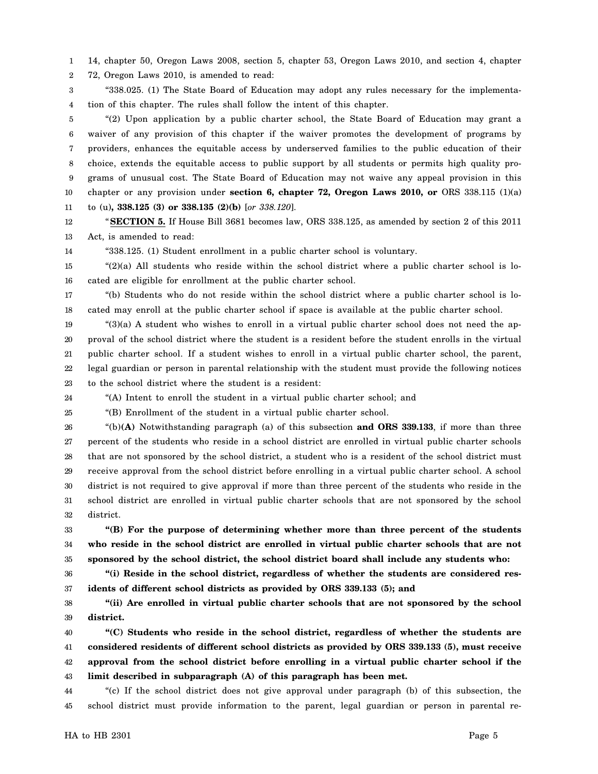1 14, chapter 50, Oregon Laws 2008, section 5, chapter 53, Oregon Laws 2010, and section 4, chapter

2 72, Oregon Laws 2010, is amended to read:

3 4 "338.025. (1) The State Board of Education may adopt any rules necessary for the implementation of this chapter. The rules shall follow the intent of this chapter.

5 6 7 8 9 10 11 "(2) Upon application by a public charter school, the State Board of Education may grant a waiver of any provision of this chapter if the waiver promotes the development of programs by providers, enhances the equitable access by underserved families to the public education of their choice, extends the equitable access to public support by all students or permits high quality programs of unusual cost. The State Board of Education may not waive any appeal provision in this chapter or any provision under **section 6, chapter 72, Oregon Laws 2010, or** ORS 338.115 (1)(a) to (u)**, 338.125 (3) or 338.135 (2)(b)** [*or 338.120*].

12 13 "**SECTION 5.** If House Bill 3681 becomes law, ORS 338.125, as amended by section 2 of this 2011 Act, is amended to read:

14 "338.125. (1) Student enrollment in a public charter school is voluntary.

15 16  $(2)(a)$  All students who reside within the school district where a public charter school is located are eligible for enrollment at the public charter school.

17 18 "(b) Students who do not reside within the school district where a public charter school is located may enroll at the public charter school if space is available at the public charter school.

19 20 21 22 23 "(3)(a) A student who wishes to enroll in a virtual public charter school does not need the approval of the school district where the student is a resident before the student enrolls in the virtual public charter school. If a student wishes to enroll in a virtual public charter school, the parent, legal guardian or person in parental relationship with the student must provide the following notices to the school district where the student is a resident:

24 "(A) Intent to enroll the student in a virtual public charter school; and

25 "(B) Enrollment of the student in a virtual public charter school.

26 27 28 29 30 31 32 "(b)**(A)** Notwithstanding paragraph (a) of this subsection **and ORS 339.133**, if more than three percent of the students who reside in a school district are enrolled in virtual public charter schools that are not sponsored by the school district, a student who is a resident of the school district must receive approval from the school district before enrolling in a virtual public charter school. A school district is not required to give approval if more than three percent of the students who reside in the school district are enrolled in virtual public charter schools that are not sponsored by the school district.

33 34 35 **"(B) For the purpose of determining whether more than three percent of the students who reside in the school district are enrolled in virtual public charter schools that are not sponsored by the school district, the school district board shall include any students who:**

36 37 **"(i) Reside in the school district, regardless of whether the students are considered residents of different school districts as provided by ORS 339.133 (5); and**

38 39 **"(ii) Are enrolled in virtual public charter schools that are not sponsored by the school district.**

40 41 42 43 **"(C) Students who reside in the school district, regardless of whether the students are considered residents of different school districts as provided by ORS 339.133 (5), must receive approval from the school district before enrolling in a virtual public charter school if the limit described in subparagraph (A) of this paragraph has been met.**

44 45 "(c) If the school district does not give approval under paragraph (b) of this subsection, the school district must provide information to the parent, legal guardian or person in parental re-